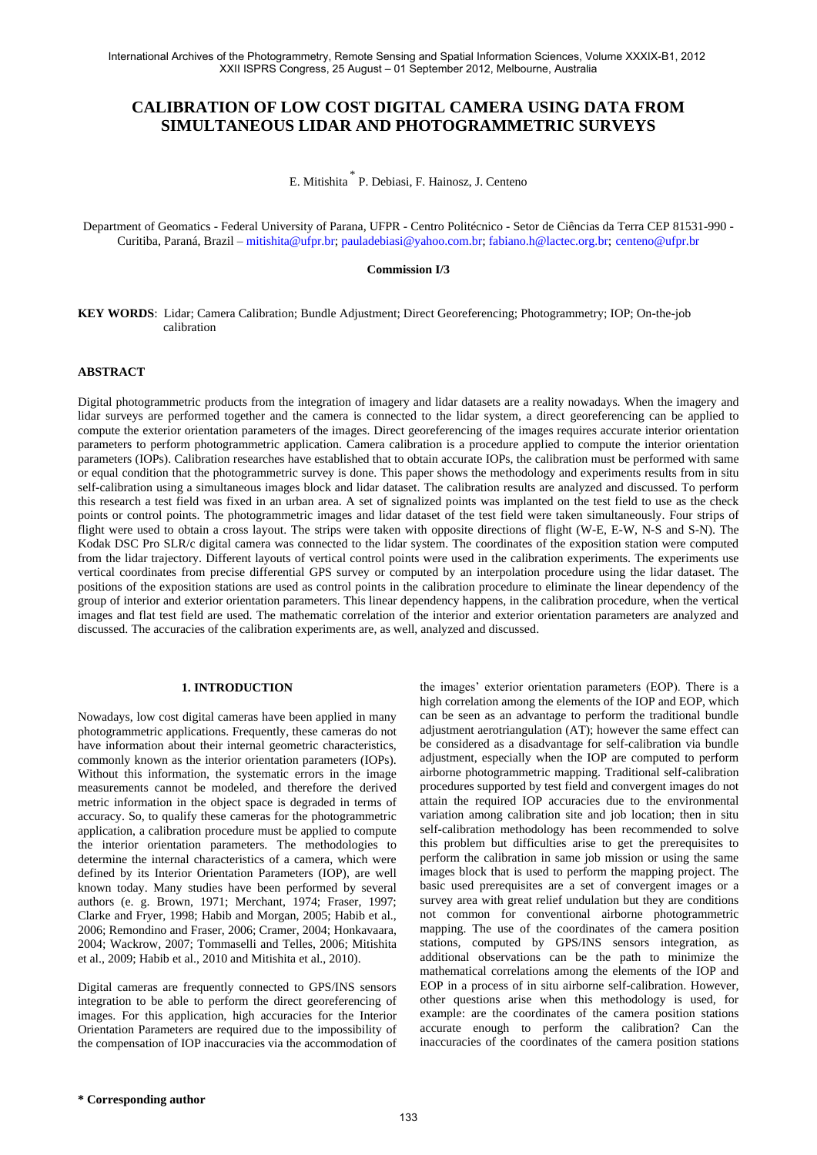# **CALIBRATION OF LOW COST DIGITAL CAMERA USING DATA FROM SIMULTANEOUS LIDAR AND PHOTOGRAMMETRIC SURVEYS**

E. Mitishita \* P. Debiasi, F. Hainosz, J. Centeno

Department of Geomatics - Federal University of Parana, UFPR - Centro Politécnico - Setor de Ciências da Terra CEP 81531-990 - Curitiba, Paraná, Brazil – [mitishita@ufpr.br;](mailto:mitishita@ufpr.br) [pauladebiasi@yahoo.com.br;](mailto:pauladebiasi@yahoo.com.br) [fabiano.h@lactec.org.br;](mailto:fabiano.h@lactec.org.br) [centeno@ufpr.br](mailto:centeno@ufpr.br)

#### **Commission I/3**

**KEY WORDS**: Lidar; Camera Calibration; Bundle Adjustment; Direct Georeferencing; Photogrammetry; IOP; On-the-job calibration

## **ABSTRACT**

Digital photogrammetric products from the integration of imagery and lidar datasets are a reality nowadays. When the imagery and lidar surveys are performed together and the camera is connected to the lidar system, a direct georeferencing can be applied to compute the exterior orientation parameters of the images. Direct georeferencing of the images requires accurate interior orientation parameters to perform photogrammetric application. Camera calibration is a procedure applied to compute the interior orientation parameters (IOPs). Calibration researches have established that to obtain accurate IOPs, the calibration must be performed with same or equal condition that the photogrammetric survey is done. This paper shows the methodology and experiments results from in situ self-calibration using a simultaneous images block and lidar dataset. The calibration results are analyzed and discussed. To perform this research a test field was fixed in an urban area. A set of signalized points was implanted on the test field to use as the check points or control points. The photogrammetric images and lidar dataset of the test field were taken simultaneously. Four strips of flight were used to obtain a cross layout. The strips were taken with opposite directions of flight (W-E, E-W, N-S and S-N). The Kodak DSC Pro SLR/c digital camera was connected to the lidar system. The coordinates of the exposition station were computed from the lidar trajectory. Different layouts of vertical control points were used in the calibration experiments. The experiments use vertical coordinates from precise differential GPS survey or computed by an interpolation procedure using the lidar dataset. The positions of the exposition stations are used as control points in the calibration procedure to eliminate the linear dependency of the group of interior and exterior orientation parameters. This linear dependency happens, in the calibration procedure, when the vertical images and flat test field are used. The mathematic correlation of the interior and exterior orientation parameters are analyzed and discussed. The accuracies of the calibration experiments are, as well, analyzed and discussed.

## **1. INTRODUCTION**

Nowadays, low cost digital cameras have been applied in many photogrammetric applications. Frequently, these cameras do not have information about their internal geometric characteristics, commonly known as the interior orientation parameters (IOPs). Without this information, the systematic errors in the image measurements cannot be modeled, and therefore the derived metric information in the object space is degraded in terms of accuracy. So, to qualify these cameras for the photogrammetric application, a calibration procedure must be applied to compute the interior orientation parameters. The methodologies to determine the internal characteristics of a camera, which were defined by its Interior Orientation Parameters (IOP), are well known today. Many studies have been performed by several authors (e. g. Brown, 1971; Merchant, 1974; Fraser, 1997; Clarke and Fryer, 1998; Habib and Morgan, 2005; Habib et al., 2006; Remondino and Fraser, 2006; Cramer, 2004; Honkavaara, 2004; Wackrow, 2007; Tommaselli and Telles, 2006; Mitishita et al., 2009; Habib et al., 2010 and Mitishita et al., 2010).

Digital cameras are frequently connected to GPS/INS sensors integration to be able to perform the direct georeferencing of images. For this application, high accuracies for the Interior Orientation Parameters are required due to the impossibility of the compensation of IOP inaccuracies via the accommodation of the images' exterior orientation parameters (EOP). There is a high correlation among the elements of the IOP and EOP, which can be seen as an advantage to perform the traditional bundle adjustment aerotriangulation (AT); however the same effect can be considered as a disadvantage for self-calibration via bundle adjustment, especially when the IOP are computed to perform airborne photogrammetric mapping. Traditional self-calibration procedures supported by test field and convergent images do not attain the required IOP accuracies due to the environmental variation among calibration site and job location; then in situ self-calibration methodology has been recommended to solve this problem but difficulties arise to get the prerequisites to perform the calibration in same job mission or using the same images block that is used to perform the mapping project. The basic used prerequisites are a set of convergent images or a survey area with great relief undulation but they are conditions not common for conventional airborne photogrammetric mapping. The use of the coordinates of the camera position stations, computed by GPS/INS sensors integration, as additional observations can be the path to minimize the mathematical correlations among the elements of the IOP and EOP in a process of in situ airborne self-calibration. However, other questions arise when this methodology is used, for example: are the coordinates of the camera position stations accurate enough to perform the calibration? Can the inaccuracies of the coordinates of the camera position stations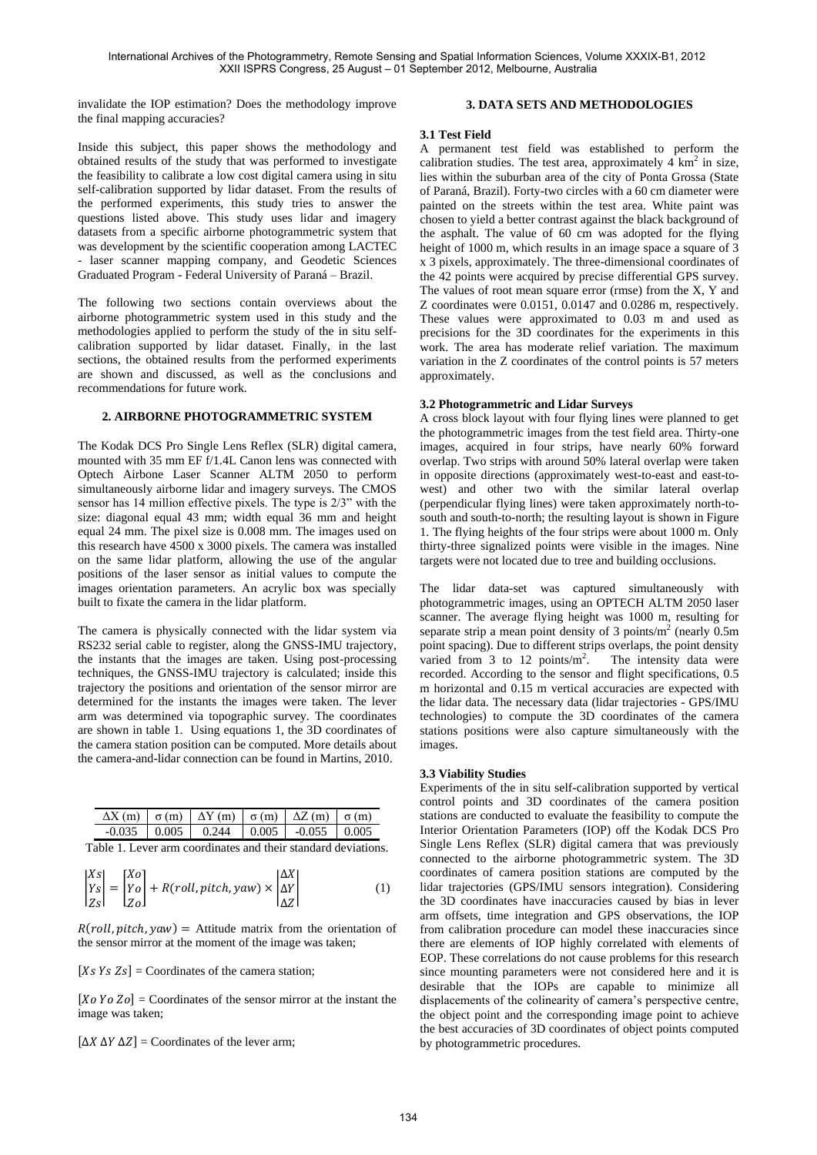invalidate the IOP estimation? Does the methodology improve the final mapping accuracies?

Inside this subject, this paper shows the methodology and obtained results of the study that was performed to investigate the feasibility to calibrate a low cost digital camera using in situ self-calibration supported by lidar dataset. From the results of the performed experiments, this study tries to answer the questions listed above. This study uses lidar and imagery datasets from a specific airborne photogrammetric system that was development by the scientific cooperation among LACTEC - laser scanner mapping company, and Geodetic Sciences Graduated Program - Federal University of Paraná – Brazil.

The following two sections contain overviews about the airborne photogrammetric system used in this study and the methodologies applied to perform the study of the in situ selfcalibration supported by lidar dataset. Finally, in the last sections, the obtained results from the performed experiments are shown and discussed, as well as the conclusions and recommendations for future work.

## **2. AIRBORNE PHOTOGRAMMETRIC SYSTEM**

The Kodak DCS Pro Single Lens Reflex (SLR) digital camera, mounted with 35 mm EF f/1.4L Canon lens was connected with Optech Airbone Laser Scanner ALTM 2050 to perform simultaneously airborne lidar and imagery surveys. The CMOS sensor has 14 million effective pixels. The type is 2/3" with the size: diagonal equal 43 mm; width equal 36 mm and height equal 24 mm. The pixel size is 0.008 mm. The images used on this research have 4500 x 3000 pixels. The camera was installed on the same lidar platform, allowing the use of the angular positions of the laser sensor as initial values to compute the images orientation parameters. An acrylic box was specially built to fixate the camera in the lidar platform.

The camera is physically connected with the lidar system via RS232 serial cable to register, along the GNSS-IMU trajectory, the instants that the images are taken. Using post-processing techniques, the GNSS-IMU trajectory is calculated; inside this trajectory the positions and orientation of the sensor mirror are determined for the instants the images were taken. The lever arm was determined via topographic survey. The coordinates are shown in table 1. Using equations 1, the 3D coordinates of the camera station position can be computed. More details about the camera-and-lidar connection can be found in Martins, 2010.

|  | $\Delta X$ (m) $\sigma$ (m) $\Delta Y$ (m) $\sigma$ (m) $\Delta Z$ (m) $\sigma$ (m) |  |  |
|--|-------------------------------------------------------------------------------------|--|--|
|  | $-0.035$   0.005   0.244   0.005   $-0.055$   0.005                                 |  |  |

Table 1. Lever arm coordinates and their standard deviations.

$$
\begin{vmatrix} Xs \\ Ys \\ Zs \end{vmatrix} = \begin{bmatrix} Xo \\ Yo \\ Zo \end{bmatrix} + R(roll, pitch, yaw) \times \begin{vmatrix} \Delta X \\ \Delta Y \\ \Delta Z \end{vmatrix}
$$
 (1)

 $R(roll, pitch, yaw) =$  Attitude matrix from the orientation of the sensor mirror at the moment of the image was taken;

[Xs  $Y_s Z_s$ ] = Coordinates of the camera station;

 $[X<sub>0</sub> Y<sub>0</sub> Z<sub>0</sub>]$  = Coordinates of the sensor mirror at the instant the image was taken;

 $[\Delta X \Delta Y \Delta Z]$  = Coordinates of the lever arm;

## **3. DATA SETS AND METHODOLOGIES**

#### **3.1 Test Field**

A permanent test field was established to perform the calibration studies. The test area, approximately  $4 \text{ km}^2$  in size, lies within the suburban area of the city of Ponta Grossa (State of Paraná, Brazil). Forty-two circles with a 60 cm diameter were painted on the streets within the test area. White paint was chosen to yield a better contrast against the black background of the asphalt. The value of 60 cm was adopted for the flying height of 1000 m, which results in an image space a square of 3 x 3 pixels, approximately. The three-dimensional coordinates of the 42 points were acquired by precise differential GPS survey. The values of root mean square error (rmse) from the X, Y and Z coordinates were 0.0151, 0.0147 and 0.0286 m, respectively. These values were approximated to 0.03 m and used as precisions for the 3D coordinates for the experiments in this work. The area has moderate relief variation. The maximum variation in the Z coordinates of the control points is 57 meters approximately.

#### **3.2 Photogrammetric and Lidar Surveys**

A cross block layout with four flying lines were planned to get the photogrammetric images from the test field area. Thirty-one images, acquired in four strips, have nearly 60% forward overlap. Two strips with around 50% lateral overlap were taken in opposite directions (approximately west-to-east and east-towest) and other two with the similar lateral overlap (perpendicular flying lines) were taken approximately north-tosouth and south-to-north; the resulting layout is shown in Figure 1. The flying heights of the four strips were about 1000 m. Only thirty-three signalized points were visible in the images. Nine targets were not located due to tree and building occlusions.

The lidar data-set was captured simultaneously with photogrammetric images, using an OPTECH ALTM 2050 laser scanner. The average flying height was 1000 m, resulting for separate strip a mean point density of 3 points/ $m<sup>2</sup>$  (nearly 0.5m) point spacing). Due to different strips overlaps, the point density varied from 3 to 12 points/ $m^2$ . The intensity data were recorded. According to the sensor and flight specifications, 0.5 m horizontal and 0.15 m vertical accuracies are expected with the lidar data. The necessary data (lidar trajectories - GPS/IMU technologies) to compute the 3D coordinates of the camera stations positions were also capture simultaneously with the images.

#### **3.3 Viability Studies**

Experiments of the in situ self-calibration supported by vertical control points and 3D coordinates of the camera position stations are conducted to evaluate the feasibility to compute the Interior Orientation Parameters (IOP) off the Kodak DCS Pro Single Lens Reflex (SLR) digital camera that was previously connected to the airborne photogrammetric system. The 3D coordinates of camera position stations are computed by the lidar trajectories (GPS/IMU sensors integration). Considering the 3D coordinates have inaccuracies caused by bias in lever arm offsets, time integration and GPS observations, the IOP from calibration procedure can model these inaccuracies since there are elements of IOP highly correlated with elements of EOP. These correlations do not cause problems for this research since mounting parameters were not considered here and it is desirable that the IOPs are capable to minimize all displacements of the colinearity of camera's perspective centre, the object point and the corresponding image point to achieve the best accuracies of 3D coordinates of object points computed by photogrammetric procedures.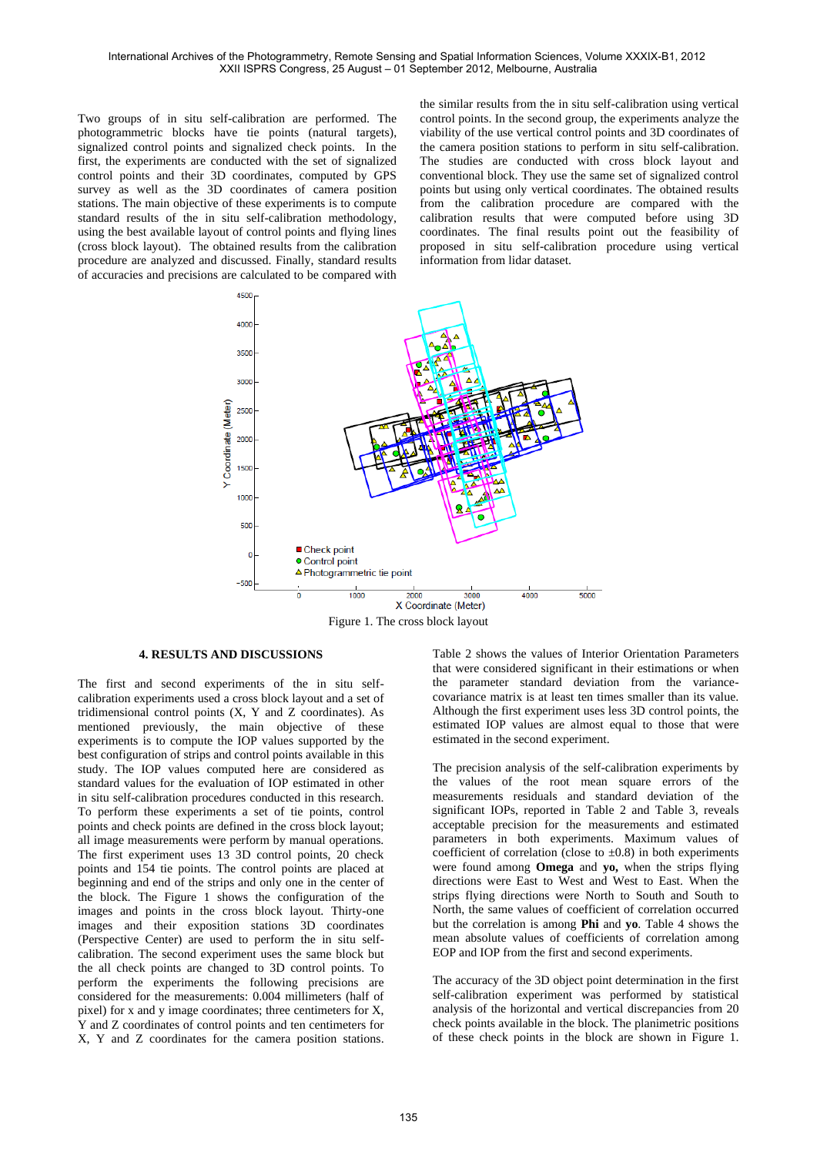Two groups of in situ self-calibration are performed. The photogrammetric blocks have tie points (natural targets), signalized control points and signalized check points. In the first, the experiments are conducted with the set of signalized control points and their 3D coordinates, computed by GPS survey as well as the 3D coordinates of camera position stations. The main objective of these experiments is to compute standard results of the in situ self-calibration methodology, using the best available layout of control points and flying lines (cross block layout). The obtained results from the calibration procedure are analyzed and discussed. Finally, standard results of accuracies and precisions are calculated to be compared with the similar results from the in situ self-calibration using vertical control points. In the second group, the experiments analyze the viability of the use vertical control points and 3D coordinates of the camera position stations to perform in situ self-calibration. The studies are conducted with cross block layout and conventional block. They use the same set of signalized control points but using only vertical coordinates. The obtained results from the calibration procedure are compared with the calibration results that were computed before using 3D coordinates. The final results point out the feasibility of proposed in situ self-calibration procedure using vertical information from lidar dataset.



Figure 1. The cross block layout

# **4. RESULTS AND DISCUSSIONS**

The first and second experiments of the in situ selfcalibration experiments used a cross block layout and a set of tridimensional control points (X, Y and Z coordinates). As mentioned previously, the main objective of these experiments is to compute the IOP values supported by the best configuration of strips and control points available in this study. The IOP values computed here are considered as standard values for the evaluation of IOP estimated in other in situ self-calibration procedures conducted in this research. To perform these experiments a set of tie points, control points and check points are defined in the cross block layout; all image measurements were perform by manual operations. The first experiment uses 13 3D control points, 20 check points and 154 tie points. The control points are placed at beginning and end of the strips and only one in the center of the block. The Figure 1 shows the configuration of the images and points in the cross block layout. Thirty-one images and their exposition stations 3D coordinates (Perspective Center) are used to perform the in situ selfcalibration. The second experiment uses the same block but the all check points are changed to 3D control points. To perform the experiments the following precisions are considered for the measurements: 0.004 millimeters (half of pixel) for x and y image coordinates; three centimeters for X, Y and Z coordinates of control points and ten centimeters for X, Y and Z coordinates for the camera position stations.

Table 2 shows the values of Interior Orientation Parameters that were considered significant in their estimations or when the parameter standard deviation from the variancecovariance matrix is at least ten times smaller than its value. Although the first experiment uses less 3D control points, the estimated IOP values are almost equal to those that were estimated in the second experiment.

The precision analysis of the self-calibration experiments by the values of the root mean square errors of the measurements residuals and standard deviation of the significant IOPs, reported in Table 2 and Table 3, reveals acceptable precision for the measurements and estimated parameters in both experiments. Maximum values of coefficient of correlation (close to  $\pm 0.8$ ) in both experiments were found among **Omega** and **yo,** when the strips flying directions were East to West and West to East. When the strips flying directions were North to South and South to North, the same values of coefficient of correlation occurred but the correlation is among **Phi** and **yo**. Table 4 shows the mean absolute values of coefficients of correlation among EOP and IOP from the first and second experiments.

The accuracy of the 3D object point determination in the first self-calibration experiment was performed by statistical analysis of the horizontal and vertical discrepancies from 20 check points available in the block. The planimetric positions of these check points in the block are shown in Figure 1.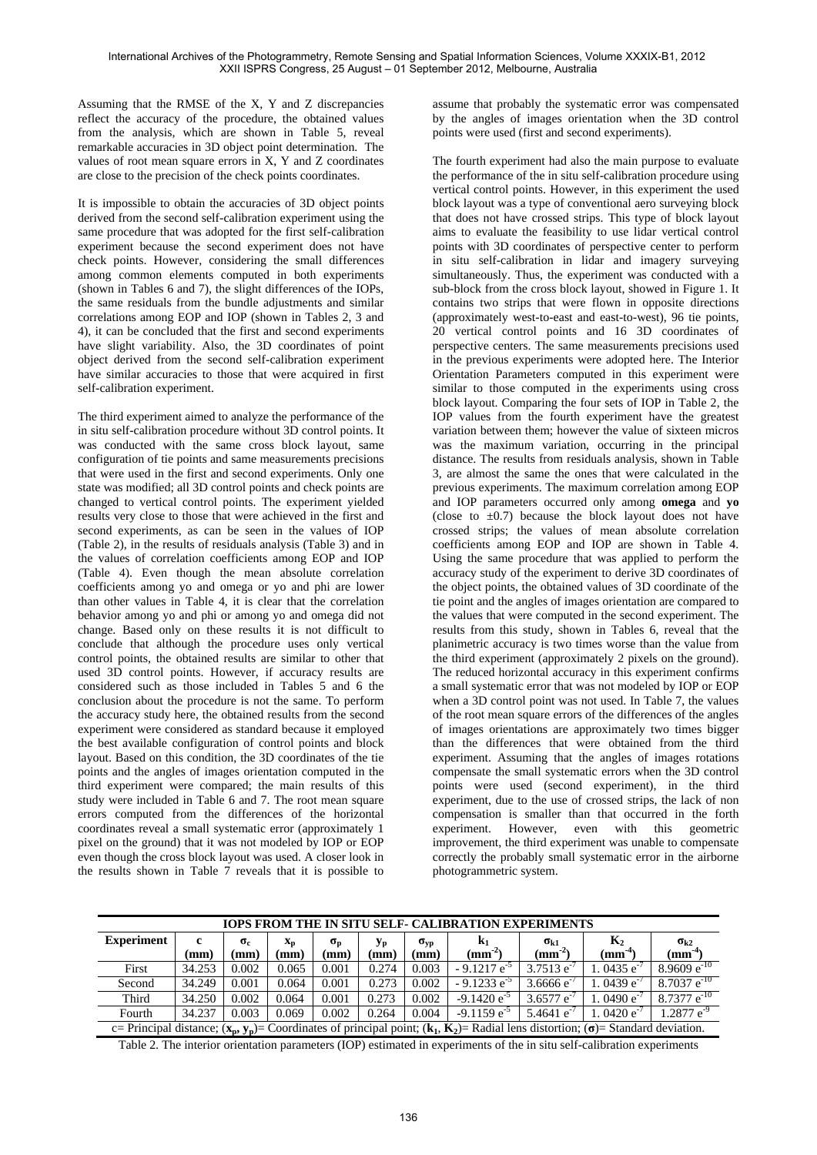Assuming that the RMSE of the X, Y and Z discrepancies reflect the accuracy of the procedure, the obtained values from the analysis, which are shown in Table 5, reveal remarkable accuracies in 3D object point determination. The values of root mean square errors in X, Y and Z coordinates are close to the precision of the check points coordinates.

It is impossible to obtain the accuracies of 3D object points derived from the second self-calibration experiment using the same procedure that was adopted for the first self-calibration experiment because the second experiment does not have check points. However, considering the small differences among common elements computed in both experiments (shown in Tables 6 and 7), the slight differences of the IOPs, the same residuals from the bundle adjustments and similar correlations among EOP and IOP (shown in Tables 2, 3 and 4), it can be concluded that the first and second experiments have slight variability. Also, the 3D coordinates of point object derived from the second self-calibration experiment have similar accuracies to those that were acquired in first self-calibration experiment.

The third experiment aimed to analyze the performance of the in situ self-calibration procedure without 3D control points. It was conducted with the same cross block layout, same configuration of tie points and same measurements precisions that were used in the first and second experiments. Only one state was modified; all 3D control points and check points are changed to vertical control points. The experiment yielded results very close to those that were achieved in the first and second experiments, as can be seen in the values of IOP (Table 2), in the results of residuals analysis (Table 3) and in the values of correlation coefficients among EOP and IOP (Table 4). Even though the mean absolute correlation coefficients among yo and omega or yo and phi are lower than other values in Table 4, it is clear that the correlation behavior among yo and phi or among yo and omega did not change. Based only on these results it is not difficult to conclude that although the procedure uses only vertical control points, the obtained results are similar to other that used 3D control points. However, if accuracy results are considered such as those included in Tables 5 and 6 the conclusion about the procedure is not the same. To perform the accuracy study here, the obtained results from the second experiment were considered as standard because it employed the best available configuration of control points and block layout. Based on this condition, the 3D coordinates of the tie points and the angles of images orientation computed in the third experiment were compared; the main results of this study were included in Table 6 and 7. The root mean square errors computed from the differences of the horizontal coordinates reveal a small systematic error (approximately 1 pixel on the ground) that it was not modeled by IOP or EOP even though the cross block layout was used. A closer look in the results shown in Table 7 reveals that it is possible to

assume that probably the systematic error was compensated by the angles of images orientation when the 3D control points were used (first and second experiments).

The fourth experiment had also the main purpose to evaluate the performance of the in situ self-calibration procedure using vertical control points. However, in this experiment the used block layout was a type of conventional aero surveying block that does not have crossed strips. This type of block layout aims to evaluate the feasibility to use lidar vertical control points with 3D coordinates of perspective center to perform in situ self-calibration in lidar and imagery surveying simultaneously. Thus, the experiment was conducted with a sub-block from the cross block layout, showed in Figure 1. It contains two strips that were flown in opposite directions (approximately west-to-east and east-to-west), 96 tie points, 20 vertical control points and 16 3D coordinates of perspective centers. The same measurements precisions used in the previous experiments were adopted here. The Interior Orientation Parameters computed in this experiment were similar to those computed in the experiments using cross block layout. Comparing the four sets of IOP in Table 2, the IOP values from the fourth experiment have the greatest variation between them; however the value of sixteen micros was the maximum variation, occurring in the principal distance. The results from residuals analysis, shown in Table 3, are almost the same the ones that were calculated in the previous experiments. The maximum correlation among EOP and IOP parameters occurred only among **omega** and **yo**  (close to  $\pm 0.7$ ) because the block layout does not have crossed strips; the values of mean absolute correlation coefficients among EOP and IOP are shown in Table 4. Using the same procedure that was applied to perform the accuracy study of the experiment to derive 3D coordinates of the object points, the obtained values of 3D coordinate of the tie point and the angles of images orientation are compared to the values that were computed in the second experiment. The results from this study, shown in Tables 6, reveal that the planimetric accuracy is two times worse than the value from the third experiment (approximately 2 pixels on the ground). The reduced horizontal accuracy in this experiment confirms a small systematic error that was not modeled by IOP or EOP when a 3D control point was not used. In Table 7, the values of the root mean square errors of the differences of the angles of images orientations are approximately two times bigger than the differences that were obtained from the third experiment. Assuming that the angles of images rotations compensate the small systematic errors when the 3D control points were used (second experiment), in the third experiment, due to the use of crossed strips, the lack of non compensation is smaller than that occurred in the forth experiment. However, even with this geometric improvement, the third experiment was unable to compensate correctly the probably small systematic error in the airborne photogrammetric system.

| <b>IOPS FROM THE IN SITU SELF- CALIBRATION EXPERIMENTS</b> |                                                                                                                                                                                                                                                                           |       |       |       |       |       |                                                                                                                                                                                   |                          |                 |                  |
|------------------------------------------------------------|---------------------------------------------------------------------------------------------------------------------------------------------------------------------------------------------------------------------------------------------------------------------------|-------|-------|-------|-------|-------|-----------------------------------------------------------------------------------------------------------------------------------------------------------------------------------|--------------------------|-----------------|------------------|
| <b>Experiment</b>                                          | $K_2$<br>$\mathbf{k}_1$<br>c<br>$\sigma_{c}$<br>$\mathbf{x}_\mathbf{n}$<br>Уp<br>$\sigma_{\rm p}$<br>$\sigma_{k2}$<br>$\sigma_{k1}$<br>$\sigma_{yp}$<br>$\text{m}^2$<br>$(mm^{-4})$<br>(mm)<br>(mm`<br>(mm)<br>$(mm^-)$<br>(mm)<br>(mm)<br>(mm)<br>$\mathbf{m}\mathbf{m}$ |       |       |       |       |       |                                                                                                                                                                                   |                          |                 |                  |
| First                                                      | 34.253                                                                                                                                                                                                                                                                    | 0.002 | 0.065 | 0.001 | 0.274 | 0.003 | $-9.1217e^{-5}$                                                                                                                                                                   | $3.7513$ e <sup>-1</sup> | 1.0435 $e^{-t}$ | $8.9609 e^{-10}$ |
| Second                                                     | 34.249                                                                                                                                                                                                                                                                    | 0.001 | 0.064 | 0.001 | 0.273 | 0.002 | $-9.1233$ e <sup>-5</sup>                                                                                                                                                         | 3.6666 $e^{-t}$          | 1.0439 $e^{-t}$ | $8.7037e^{-10}$  |
| Third                                                      | 34.250                                                                                                                                                                                                                                                                    | 0.002 | 0.064 | 0.001 | 0.273 | 0.002 | $-9.1420 e^{-5}$                                                                                                                                                                  | $3.6577 e^{-t}$          | 1.0490 $e^{-t}$ | $8.7377 e^{-10}$ |
| Fourth                                                     | 34.237                                                                                                                                                                                                                                                                    | 0.003 | 0.069 | 0.002 | 0.264 | 0.004 | $-9.1159 e^{-5}$                                                                                                                                                                  | 5.4641 $e^{-t}$          | 1.0420 $e^{-t}$ | $1.2877 e^{-9}$  |
|                                                            |                                                                                                                                                                                                                                                                           |       |       |       |       |       | c= Principal distance; $(\mathbf{x_n}, \mathbf{y_n})$ = Coordinates of principal point; $(\mathbf{k_1}, \mathbf{K_2})$ = Radial lens distortion; $(\sigma)$ = Standard deviation. |                          |                 |                  |

Table 2. The interior orientation parameters (IOP) estimated in experiments of the in situ self-calibration experiments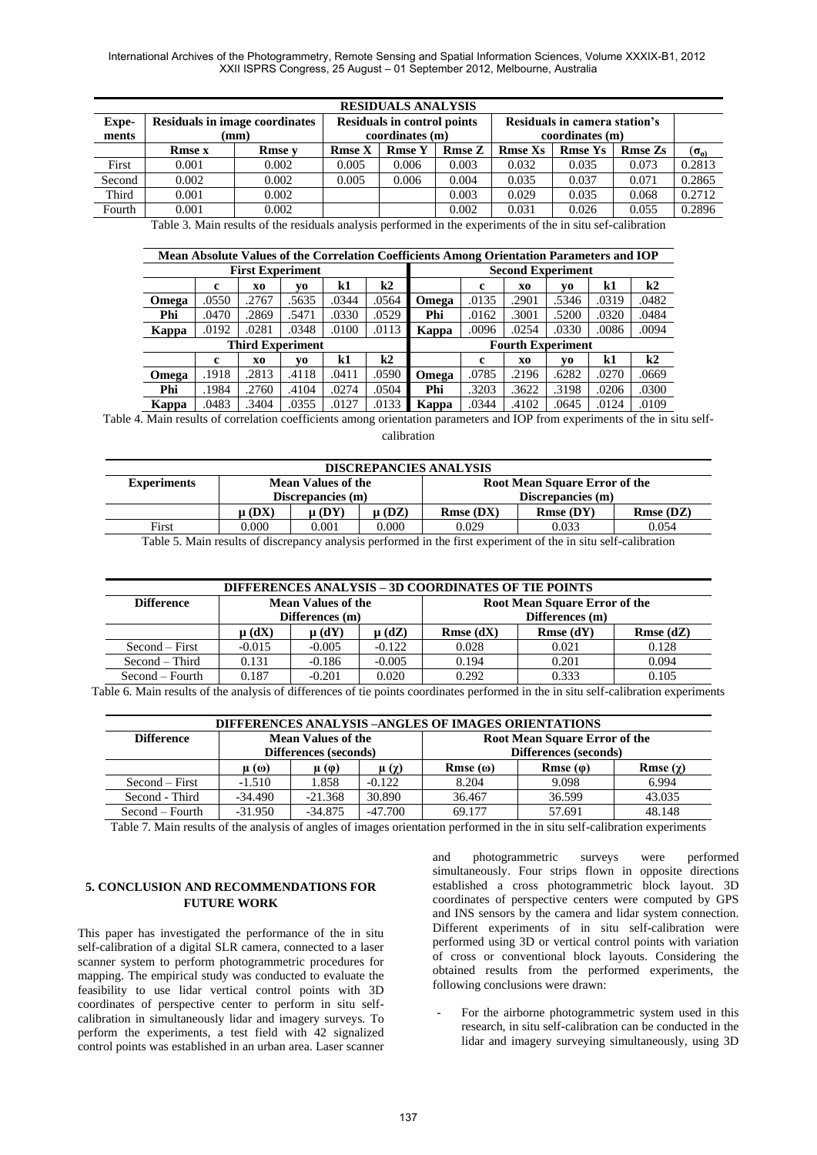| <b>RESIDUALS ANALYSIS</b> |               |                                       |               |                                    |               |                               |                |                |               |  |
|---------------------------|---------------|---------------------------------------|---------------|------------------------------------|---------------|-------------------------------|----------------|----------------|---------------|--|
| Expe-                     |               | <b>Residuals in image coordinates</b> |               | <b>Residuals in control points</b> |               | Residuals in camera station's |                |                |               |  |
| ments                     |               | (mm)                                  |               | coordinates (m)                    |               | coordinates (m)               |                |                |               |  |
|                           | <b>Rmse x</b> | <b>Rmse</b> v                         | <b>Rmse X</b> | <b>Rmse Y</b>                      | <b>Rmse Z</b> | <b>Rmse Xs</b>                | <b>Rmse Ys</b> | <b>Rmse Zs</b> | $(\sigma_{o}$ |  |
| First                     | 0.001         | 0.002                                 | 0.005         | 0.006                              | 0.003         | 0.032                         | 0.035          | 0.073          | 0.2813        |  |
| Second                    | 0.002         | 0.002                                 | 0.005         | 0.006                              | 0.004         | 0.035                         | 0.037          | 0.071          | 0.2865        |  |
| Third                     | 0.001         | 0.002                                 |               |                                    | 0.003         | 0.029                         | 0.035          | 0.068          | 0.2712        |  |
| Fourth                    | 0.001         | 0.002                                 |               |                                    | 0.002         | 0.031                         | 0.026          | 0.055          | 0.2896        |  |

Table 3. Main results of the residuals analysis performed in the experiments of the in situ sef-calibration

|                         | Mean Absolute Values of the Correlation Coefficients Among Orientation Parameters and IOP |       |                         |       |       |                          |       |       |       |       |       |
|-------------------------|-------------------------------------------------------------------------------------------|-------|-------------------------|-------|-------|--------------------------|-------|-------|-------|-------|-------|
| <b>First Experiment</b> |                                                                                           |       |                         |       |       | <b>Second Experiment</b> |       |       |       |       |       |
|                         | c                                                                                         | X0    | V0                      | k1    | k2    |                          | c     | X0    | VO    | k1    | k2    |
| Omega                   | .0550                                                                                     | .2767 | .5635                   | .0344 | .0564 | Omega                    | .0135 | .2901 | .5346 | .0319 | .0482 |
| Phi                     | .0470                                                                                     | .2869 | .5471                   | .0330 | .0529 | Phi                      | .0162 | .3001 | .5200 | .0320 | .0484 |
| Kappa                   | .0192                                                                                     | .0281 | .0348                   | .0100 | .0113 | Kappa                    | .0096 | .0254 | .0330 | .0086 | .0094 |
|                         |                                                                                           |       | <b>Third Experiment</b> |       |       | <b>Fourth Experiment</b> |       |       |       |       |       |
|                         | c                                                                                         | X0    | V0                      | k1    | k2    |                          | c     | X0    | VO.   | k1    | k2    |
| Omega                   | .1918                                                                                     | .2813 | .4118                   | .0411 | .0590 | Omega                    | .0785 | .2196 | .6282 | .0270 | .0669 |
| Phi                     | .1984                                                                                     | .2760 | .4104                   | .0274 | .0504 | Phi                      | .3203 | .3622 | .3198 | .0206 | .0300 |
| Kappa                   | .0483                                                                                     | .3404 | .0355                   | .0127 | .0133 | Kappa                    | .0344 | .4102 | .0645 | .0124 | .0109 |

Table 4. Main results of correlation coefficients among orientation parameters and IOP from experiments of the in situ selfcalibration

| <b>DISCREPANCIES ANALYSIS</b>                                                           |                   |                   |            |                   |          |          |  |  |  |
|-----------------------------------------------------------------------------------------|-------------------|-------------------|------------|-------------------|----------|----------|--|--|--|
| <b>Experiments</b><br><b>Mean Values of the</b><br><b>Root Mean Square Error of the</b> |                   |                   |            |                   |          |          |  |  |  |
|                                                                                         |                   | Discrepancies (m) |            | Discrepancies (m) |          |          |  |  |  |
|                                                                                         | $\mathbf{u}$ (DX) | $\mathbf{u}$ (DY) | $\mu$ (DZ) | Rmse(DX)          | Rmse(DY) | Rmse(DZ) |  |  |  |
| First                                                                                   | 0.000             | 0.001             | 0.000      | 0.029             | 0.033    | 0.054    |  |  |  |

Table 5. Main results of discrepancy analysis performed in the first experiment of the in situ self-calibration

| DIFFERENCES ANALYSIS – 3D COORDINATES OF TIE POINTS |            |                                                                                                  |          |       |       |       |  |  |  |
|-----------------------------------------------------|------------|--------------------------------------------------------------------------------------------------|----------|-------|-------|-------|--|--|--|
| <b>Difference</b>                                   |            | <b>Mean Values of the</b><br>Root Mean Square Error of the<br>Differences (m)<br>Differences (m) |          |       |       |       |  |  |  |
|                                                     | $\mu$ (dX) | $\mu$ (dZ)<br><b>Rmse</b> $(dZ)$<br>$\mu$ (dY)<br><b>Rmse</b> $(dX)$<br><b>Rmse</b> $(dY)$       |          |       |       |       |  |  |  |
| Second – First                                      | $-0.015$   | $-0.005$                                                                                         | $-0.122$ | 0.028 | 0.021 | 0.128 |  |  |  |
| Second – Third                                      | 0.131      | -0.186                                                                                           | $-0.005$ | 0.194 | 0.201 | 0.094 |  |  |  |
| $Second - Fourth$                                   | 0.187      | $-0.201$                                                                                         | 0.020    | 0.292 | 0.333 | 0.105 |  |  |  |

Table 6. Main results of the analysis of differences of tie points coordinates performed in the in situ self-calibration experiments

| DIFFERENCES ANALYSIS –ANGLES OF IMAGES ORIENTATIONS |               |                                                                                         |           |                                                        |        |        |  |  |  |
|-----------------------------------------------------|---------------|-----------------------------------------------------------------------------------------|-----------|--------------------------------------------------------|--------|--------|--|--|--|
| <b>Difference</b>                                   |               | <b>Mean Values of the</b><br>Differences (seconds)                                      |           | Root Mean Square Error of the<br>Differences (seconds) |        |        |  |  |  |
|                                                     | $\mu(\omega)$ | $Rmse(\varphi)$<br>$Rmse(\omega)$<br>Rmse $(\gamma)$<br>$\mu(\varphi)$<br>$\mu(\gamma)$ |           |                                                        |        |        |  |  |  |
| $Second - First$                                    | $-1.510$      | 1.858                                                                                   | $-0.122$  | 8.204                                                  | 9.098  | 6.994  |  |  |  |
| Second - Third                                      | $-34.490$     | $-21.368$                                                                               | 30.890    | 36.467                                                 | 36.599 | 43.035 |  |  |  |
| Second – Fourth                                     | $-31.950$     | $-34.875$                                                                               | $-47.700$ | 69.177                                                 | 57.691 | 48.148 |  |  |  |

Table 7. Main results of the analysis of angles of images orientation performed in the in situ self-calibration experiments

# **5. CONCLUSION AND RECOMMENDATIONS FOR FUTURE WORK**

This paper has investigated the performance of the in situ self-calibration of a digital SLR camera, connected to a laser scanner system to perform photogrammetric procedures for mapping. The empirical study was conducted to evaluate the feasibility to use lidar vertical control points with 3D coordinates of perspective center to perform in situ selfcalibration in simultaneously lidar and imagery surveys. To perform the experiments, a test field with 42 signalized control points was established in an urban area. Laser scanner and photogrammetric surveys were performed simultaneously. Four strips flown in opposite directions established a cross photogrammetric block layout. 3D coordinates of perspective centers were computed by GPS and INS sensors by the camera and lidar system connection. Different experiments of in situ self-calibration were performed using 3D or vertical control points with variation of cross or conventional block layouts. Considering the obtained results from the performed experiments, the following conclusions were drawn:

For the airborne photogrammetric system used in this research, in situ self-calibration can be conducted in the lidar and imagery surveying simultaneously, using 3D